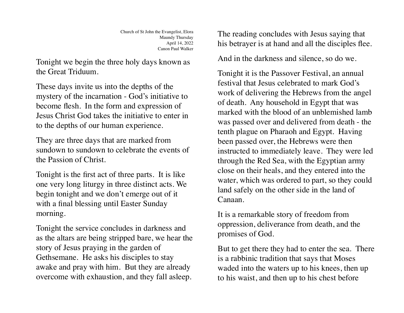Church of St John the Evangelist, Elora Maundy Thursday April 14, 2022 Canon Paul Walker

Tonight we begin the three holy days known as the Great Triduum.

These days invite us into the depths of the mystery of the incarnation - God's initiative to become flesh. In the form and expression of Jesus Christ God takes the initiative to enter in to the depths of our human experience.

They are three days that are marked from sundown to sundown to celebrate the events of the Passion of Christ.

Tonight is the first act of three parts. It is like one very long liturgy in three distinct acts. We begin tonight and we don't emerge out of it with a final blessing until Easter Sunday morning.

Tonight the service concludes in darkness and as the altars are being stripped bare, we hear the story of Jesus praying in the garden of Gethsemane. He asks his disciples to stay awake and pray with him. But they are already overcome with exhaustion, and they fall asleep.

The reading concludes with Jesus saying that his betrayer is at hand and all the disciples flee.

And in the darkness and silence, so do we.

Tonight it is the Passover Festival, an annual festival that Jesus celebrated to mark God's work of delivering the Hebrews from the angel of death. Any household in Egypt that was marked with the blood of an unblemished lamb was passed over and delivered from death - the tenth plague on Pharaoh and Egypt. Having been passed over, the Hebrews were then instructed to immediately leave. They were led through the Red Sea, with the Egyptian army close on their heals, and they entered into the water, which was ordered to part, so they could land safely on the other side in the land of Canaan.

It is a remarkable story of freedom from oppression, deliverance from death, and the promises of God.

But to get there they had to enter the sea. There is a rabbinic tradition that says that Moses waded into the waters up to his knees, then up to his waist, and then up to his chest before